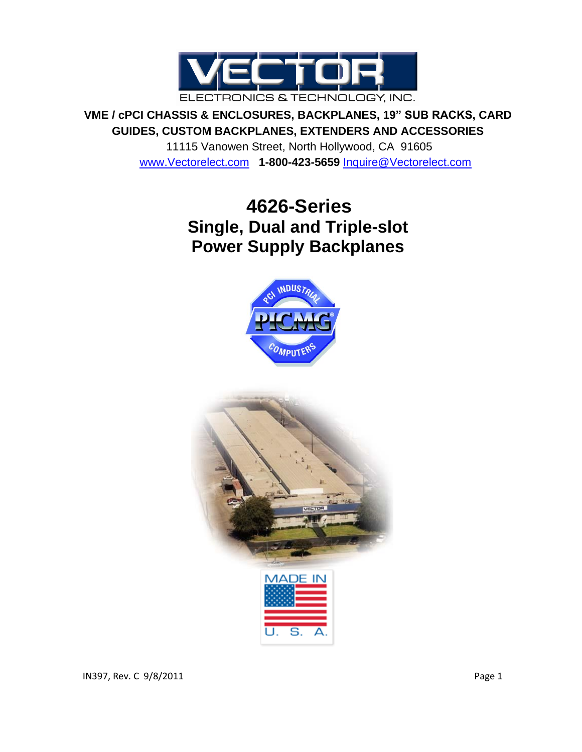

**VME / cPCI CHASSIS & ENCLOSURES, BACKPLANES, 19" SUB RACKS, CARD GUIDES, CUSTOM BACKPLANES, EXTENDERS AND ACCESSORIES**

> 11115 Vanowen Street, North Hollywood, CA 91605 [www.Vectorelect.com](http://www.vectorelect.com/) **1-800-423-5659** [Inquire@Vectorelect.com](mailto:Inquire@Vectorelect.com)

# **4626-Series Single, Dual and Triple-slot Power Supply Backplanes**



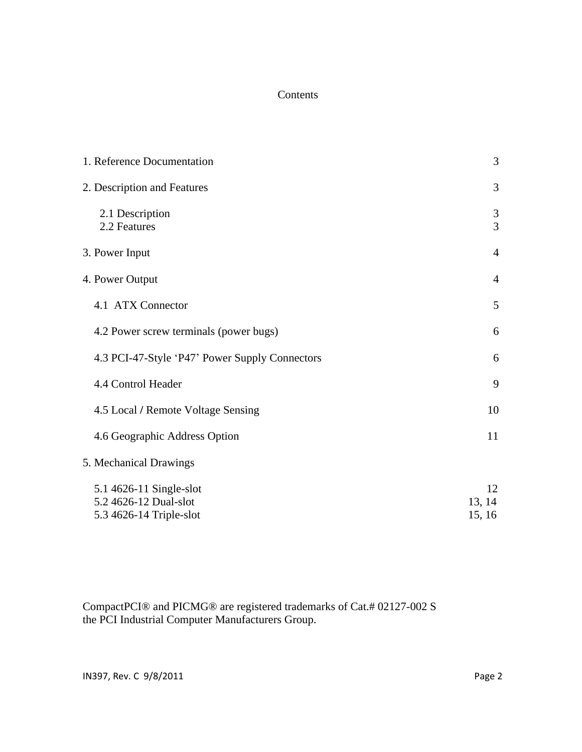#### Contents

| 1. Reference Documentation                                                  | 3                      |
|-----------------------------------------------------------------------------|------------------------|
| 2. Description and Features                                                 | 3                      |
| 2.1 Description<br>2.2 Features                                             | $\mathfrak{Z}$<br>3    |
| 3. Power Input                                                              | $\overline{4}$         |
| 4. Power Output                                                             | $\overline{4}$         |
| 4.1 ATX Connector                                                           | 5                      |
| 4.2 Power screw terminals (power bugs)                                      | 6                      |
| 4.3 PCI-47-Style 'P47' Power Supply Connectors                              | 6                      |
| 4.4 Control Header                                                          | 9                      |
| 4.5 Local / Remote Voltage Sensing                                          | 10                     |
| 4.6 Geographic Address Option                                               | 11                     |
| 5. Mechanical Drawings                                                      |                        |
| 5.1 4626-11 Single-slot<br>5.2 4626-12 Dual-slot<br>5.3 4626-14 Triple-slot | 12<br>13, 14<br>15, 16 |

CompactPCI® and PICMG® are registered trademarks of Cat.# 02127-002 S the PCI Industrial Computer Manufacturers Group.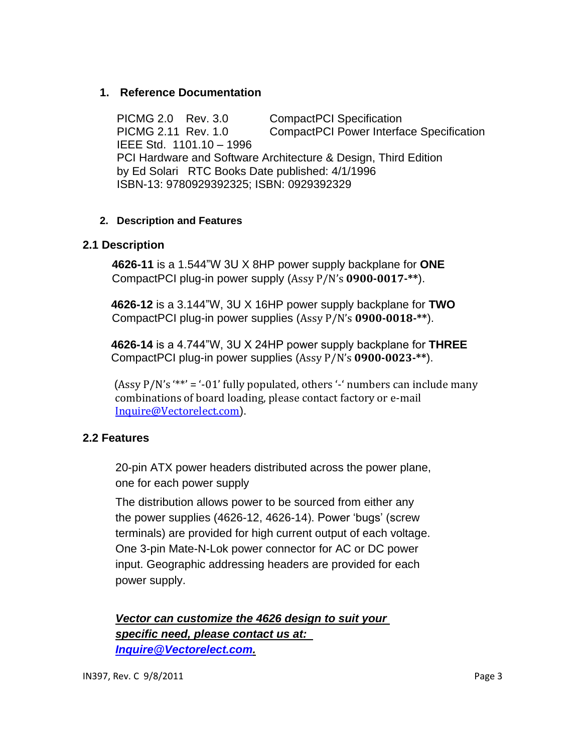#### **1. Reference Documentation**

PICMG 2.0 Rev. 3.0 CompactPCI Specification PICMG 2.11 Rev. 1.0 CompactPCI Power Interface Specification IEEE Std. 1101.10 – 1996 PCI Hardware and Software Architecture & Design, Third Edition by Ed Solari RTC Books Date published: 4/1/1996 ISBN-13: 9780929392325; ISBN: 0929392329

#### **2. Description and Features**

#### **2.1 Description**

**4626-11** is a 1.544"W 3U X 8HP power supply backplane for **ONE** CompactPCI plug-in power supply (Assy P/N's **0900-0017-\*\***).

 **4626-12** is a 3.144"W, 3U X 16HP power supply backplane for **TWO** CompactPCI plug-in power supplies (Assy P/N's **0900-0018-\*\***).

 **4626-14** is a 4.744"W, 3U X 24HP power supply backplane for **THREE** CompactPCI plug-in power supplies (Assy P/N's **0900-0023-\*\***).

(Assy  $P/N$ 's '\*\*' = '-01' fully populated, others '-' numbers can include many combinations of board loading, please contact factory or e-mail [Inquire@Vectorelect.com](mailto:Inquire@Vectorelect.com)).

#### **2.2 Features**

20-pin ATX power headers distributed across the power plane, one for each power supply

The distribution allows power to be sourced from either any the power supplies (4626-12, 4626-14). Power 'bugs' (screw terminals) are provided for high current output of each voltage. One 3-pin Mate-N-Lok power connector for AC or DC power input. Geographic addressing headers are provided for each power supply.

*Vector can customize the 4626 design to suit your specific need, please contact us at: [Inquire@Vectorelect.com.](mailto:Inquire@Vectorelect.com)*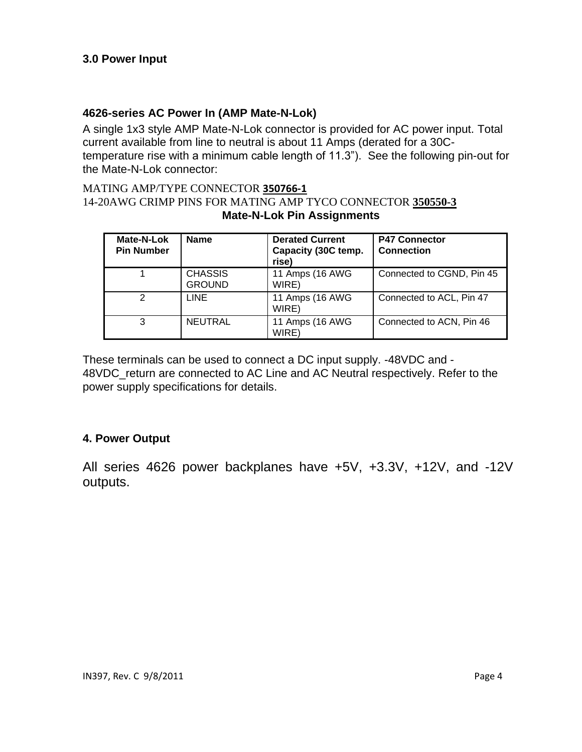#### **4626-series AC Power In (AMP Mate-N-Lok)**

A single 1x3 style AMP Mate-N-Lok connector is provided for AC power input. Total current available from line to neutral is about 11 Amps (derated for a 30Ctemperature rise with a minimum cable length of 11.3"). See the following pin-out for the Mate-N-Lok connector:

#### MATING AMP/TYPE CONNECTOR **350766-1** 14-20AWG CRIMP PINS FOR MATING AMP TYCO CONNECTOR **350550-3 Mate-N-Lok Pin Assignments**

| Mate-N-Lok<br><b>Pin Number</b> | <b>Name</b>                     | <b>Derated Current</b><br>Capacity (30C temp.<br>rise) | <b>P47 Connector</b><br><b>Connection</b> |
|---------------------------------|---------------------------------|--------------------------------------------------------|-------------------------------------------|
|                                 | <b>CHASSIS</b><br><b>GROUND</b> | 11 Amps (16 AWG<br>WIRE)                               | Connected to CGND, Pin 45                 |
| 2                               | LINE                            | 11 Amps (16 AWG<br>WIRE)                               | Connected to ACL, Pin 47                  |
| 3                               | <b>NEUTRAL</b>                  | 11 Amps (16 AWG<br>WIRE)                               | Connected to ACN, Pin 46                  |

These terminals can be used to connect a DC input supply. -48VDC and - 48VDC\_return are connected to AC Line and AC Neutral respectively. Refer to the power supply specifications for details.

#### **4. Power Output**

All series 4626 power backplanes have +5V, +3.3V, +12V, and -12V outputs.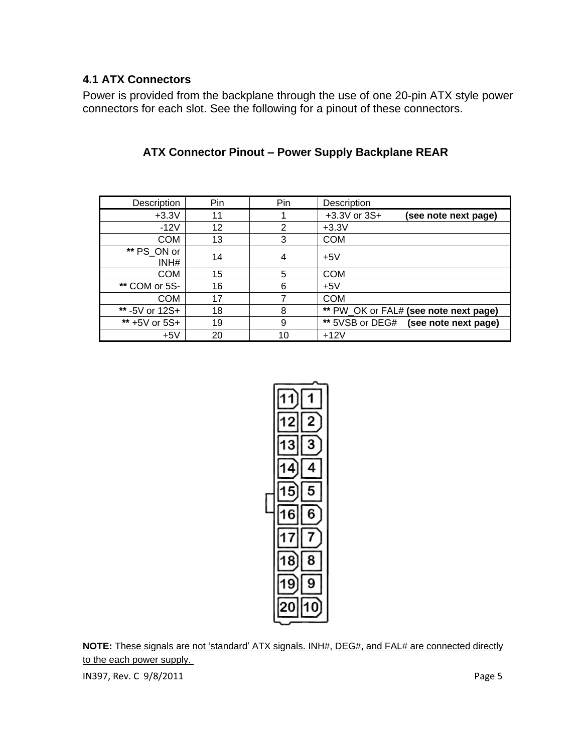#### **4.1 ATX Connectors**

Power is provided from the backplane through the use of one 20-pin ATX style power connectors for each slot. See the following for a pinout of these connectors.

| Description         | Pin | Pin            | Description                              |
|---------------------|-----|----------------|------------------------------------------|
| $+3.3V$             | 11  |                | $+3.3V$ or $3S+$<br>(see note next page) |
| $-12V$              | 12  | $\overline{2}$ | $+3.3V$                                  |
| <b>COM</b>          | 13  | 3              | <b>COM</b>                               |
| ** PS_ON or<br>INH# | 14  | 4              | $+5V$                                    |
| <b>COM</b>          | 15  | 5              | <b>COM</b>                               |
| ** COM or 5S-       | 16  | 6              | $+5V$                                    |
| <b>COM</b>          | 17  | 7              | <b>COM</b>                               |
| ** -5V or 12S+      | 18  | 8              | ** PW_OK or FAL# (see note next page)    |
| ** +5V or 5S+       | 19  | 9              | ** 5VSB or DEG# (see note next page)     |
| $+5V$               | 20  | 10             | $+12V$                                   |

### **ATX Connector Pinout – Power Supply Backplane REAR**



**NOTE:** These signals are not 'standard' ATX signals. INH#, DEG#, and FAL# are connected directly to the each power supply.

IN397, Rev. C 9/8/2011 2012 2022 12:30 Page 5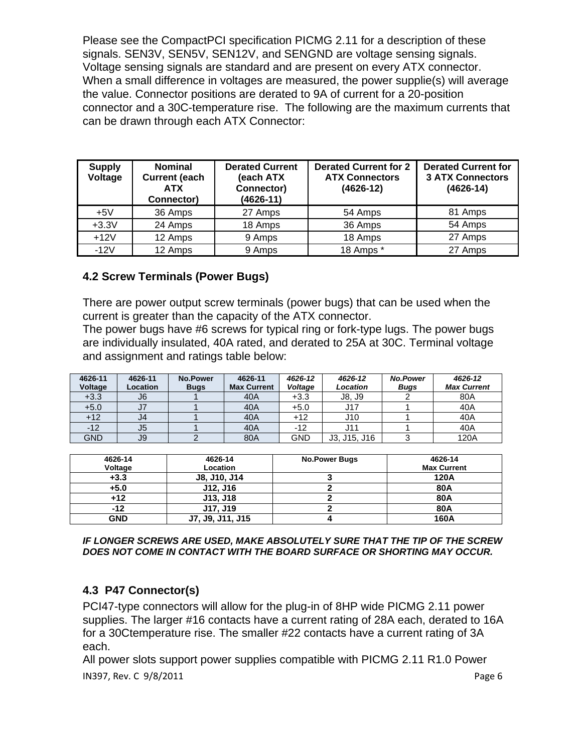Please see the CompactPCI specification PICMG 2.11 for a description of these signals. SEN3V, SEN5V, SEN12V, and SENGND are voltage sensing signals. Voltage sensing signals are standard and are present on every ATX connector. When a small difference in voltages are measured, the power supplie(s) will average the value. Connector positions are derated to 9A of current for a 20-position connector and a 30C-temperature rise. The following are the maximum currents that can be drawn through each ATX Connector:

| <b>Supply</b><br>Voltage | <b>Nominal</b><br><b>Current (each</b><br><b>ATX</b><br>Connector) | <b>Derated Current</b><br>(each ATX<br>Connector)<br>(4626-11) | <b>Derated Current for 2</b><br><b>ATX Connectors</b><br>$(4626-12)$ | <b>Derated Current for</b><br><b>3 ATX Connectors</b><br>$(4626 - 14)$ |
|--------------------------|--------------------------------------------------------------------|----------------------------------------------------------------|----------------------------------------------------------------------|------------------------------------------------------------------------|
| $+5V$                    | 36 Amps                                                            | 27 Amps                                                        | 54 Amps                                                              | 81 Amps                                                                |
| $+3.3V$                  | 24 Amps                                                            | 18 Amps                                                        | 36 Amps                                                              | 54 Amps                                                                |
| $+12V$                   | 12 Amps                                                            | 9 Amps                                                         | 18 Amps                                                              | 27 Amps                                                                |
| $-12V$                   | 12 Amps                                                            | 9 Amps                                                         | 18 Amps *                                                            | 27 Amps                                                                |

#### **4.2 Screw Terminals (Power Bugs)**

There are power output screw terminals (power bugs) that can be used when the current is greater than the capacity of the ATX connector.

The power bugs have #6 screws for typical ring or fork-type lugs. The power bugs are individually insulated, 40A rated, and derated to 25A at 30C. Terminal voltage and assignment and ratings table below:

| 4626-11<br>Voltage | 4626-11<br>Location | <b>No.Power</b><br><b>Bugs</b> | 4626-11<br><b>Max Current</b> | 4626-12<br>Voltage | 4626-12<br>Location | <b>No.Power</b><br><b>Bugs</b> | 4626-12<br><b>Max Current</b> |
|--------------------|---------------------|--------------------------------|-------------------------------|--------------------|---------------------|--------------------------------|-------------------------------|
| $+3.3$             | J6                  |                                | 40A                           | $+3.3$             | J8, J9              |                                | 80A                           |
| $+5.0$             | J <sub>7</sub>      |                                | 40A                           | $+5.0$             | J17                 |                                | 40A                           |
| $+12$              | J4                  |                                | 40A                           | $+12$              | J10                 |                                | 40A                           |
| $-12$              | J5                  |                                | 40A                           | -12                |                     |                                | 40A                           |
| <b>GND</b>         | J9                  |                                | 80A                           | GND                | J3, J15, J16        |                                | 120A                          |

| 4626-14    | 4626-14          | <b>No.Power Bugs</b> | 4626-14            |
|------------|------------------|----------------------|--------------------|
| Voltage    | Location         |                      | <b>Max Current</b> |
| $+3.3$     | J8, J10, J14     |                      | 120A               |
| $+5.0$     | J12, J16         |                      | 80A                |
| +12        | J13, J18         |                      | 80A                |
| -12        | J17, J19         |                      | 80A                |
| <b>GND</b> | J7, J9, J11, J15 |                      | 160A               |

*IF LONGER SCREWS ARE USED, MAKE ABSOLUTELY SURE THAT THE TIP OF THE SCREW DOES NOT COME IN CONTACT WITH THE BOARD SURFACE OR SHORTING MAY OCCUR.* 

#### **4.3 P47 Connector(s)**

PCI47-type connectors will allow for the plug-in of 8HP wide PICMG 2.11 power supplies. The larger #16 contacts have a current rating of 28A each, derated to 16A for a 30Ctemperature rise. The smaller #22 contacts have a current rating of 3A each.

IN397, Rev. C 9/8/2011 **Page 6** All power slots support power supplies compatible with PICMG 2.11 R1.0 Power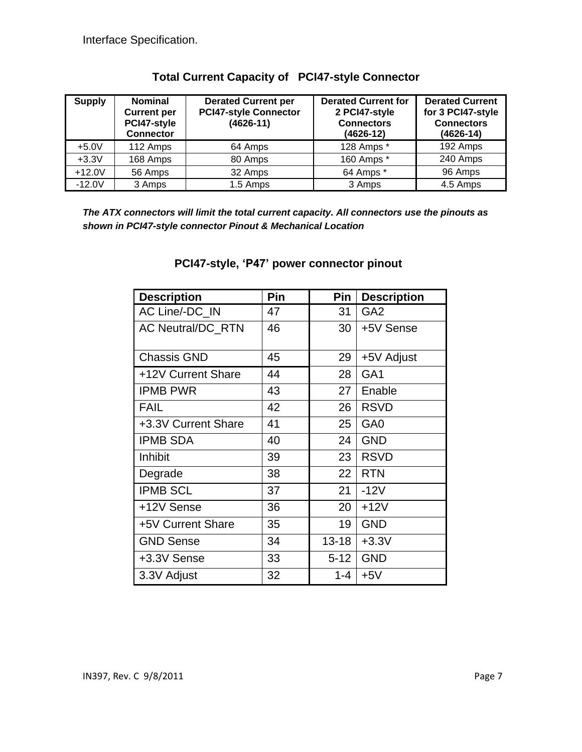| <b>Supply</b> | <b>Nominal</b><br><b>Current per</b><br>PCI47-style<br><b>Connector</b> | <b>Derated Current per</b><br><b>PCI47-style Connector</b><br>$(4626 - 11)$ | <b>Derated Current for</b><br>2 PCI47-style<br><b>Connectors</b><br>$(4626 - 12)$ | <b>Derated Current</b><br>for 3 PCI47-style<br><b>Connectors</b><br>$(4626 - 14)$ |
|---------------|-------------------------------------------------------------------------|-----------------------------------------------------------------------------|-----------------------------------------------------------------------------------|-----------------------------------------------------------------------------------|
| $+5.0V$       | 112 Amps                                                                | 64 Amps                                                                     | 128 Amps *                                                                        | 192 Amps                                                                          |
| $+3.3V$       | 168 Amps                                                                | 80 Amps                                                                     | 160 Amps *                                                                        | 240 Amps                                                                          |
| $+12.0V$      | 56 Amps                                                                 | 32 Amps                                                                     | 64 Amps *                                                                         | 96 Amps                                                                           |
| $-12.0V$      | 3 Amps                                                                  | 1.5 Amps                                                                    | 3 Amps                                                                            | 4.5 Amps                                                                          |

#### **Total Current Capacity of PCI47-style Connector**

*The ATX connectors will limit the total current capacity. All connectors use the pinouts as shown in PCI47-style connector Pinout & Mechanical Location* 

| <b>Description</b>       | Pin | Pin       | <b>Description</b> |
|--------------------------|-----|-----------|--------------------|
| AC Line/-DC IN           | 47  | 31        | GA <sub>2</sub>    |
| <b>AC Neutral/DC_RTN</b> | 46  | 30        | +5V Sense          |
| <b>Chassis GND</b>       | 45  | 29        | +5V Adjust         |
| +12V Current Share       | 44  | 28        | GA <sub>1</sub>    |
| <b>IPMB PWR</b>          | 43  | 27        | Enable             |
| <b>FAIL</b>              | 42  | 26        | <b>RSVD</b>        |
| +3.3V Current Share      | 41  | 25        | GA <sub>0</sub>    |
| <b>IPMB SDA</b>          | 40  | 24        | <b>GND</b>         |
| Inhibit                  | 39  | 23        | <b>RSVD</b>        |
| Degrade                  | 38  | 22        | <b>RTN</b>         |
| <b>IPMB SCL</b>          | 37  | 21        | $-12V$             |
| +12V Sense               | 36  | 20        | $+12V$             |
| +5V Current Share        | 35  | 19        | <b>GND</b>         |
| <b>GND Sense</b>         | 34  | $13 - 18$ | $+3.3V$            |
| +3.3V Sense              | 33  | $5 - 12$  | <b>GND</b>         |
| 3.3V Adjust              | 32  | 1-4       | $+5V$              |

### **PCI47-style, 'P47' power connector pinout**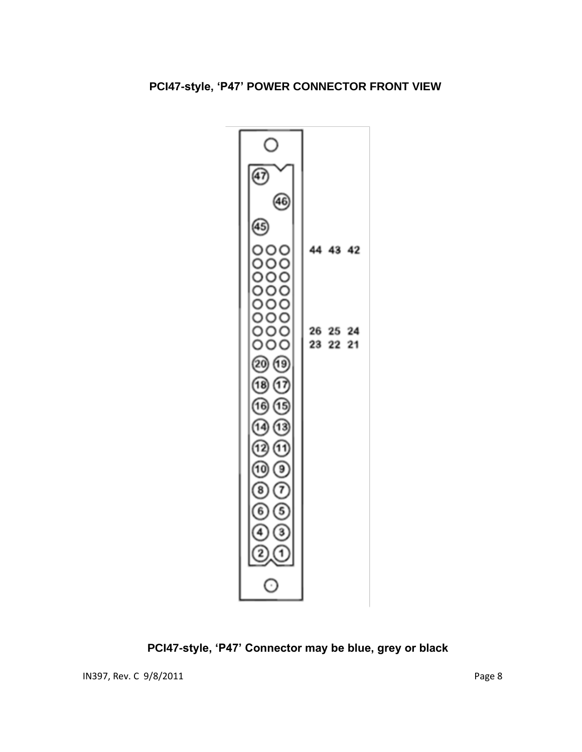

**PCI47-style, 'P47' Connector may be blue, grey or black**

IN397, Rev. C 9/8/2011 **Page 8**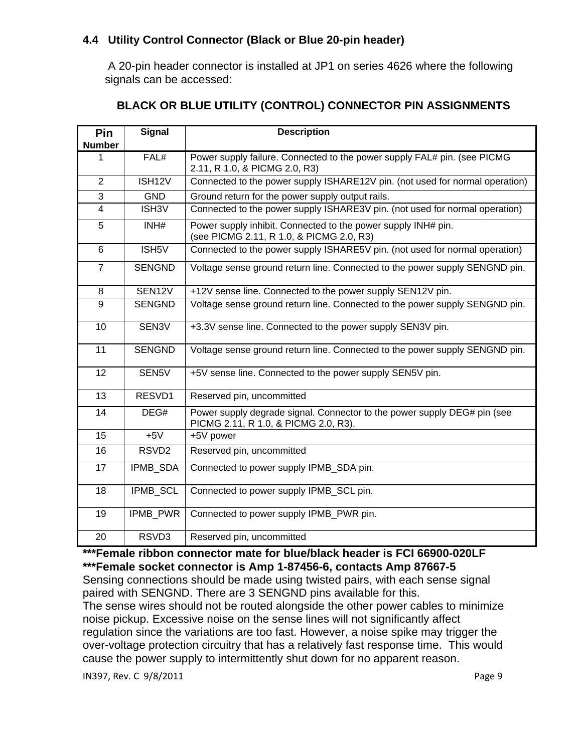#### **4.4 Utility Control Connector (Black or Blue 20-pin header)**

 A 20-pin header connector is installed at JP1 on series 4626 where the following signals can be accessed:

| Pin            | <b>Signal</b>      | <b>Description</b>                                                                                               |
|----------------|--------------------|------------------------------------------------------------------------------------------------------------------|
| <b>Number</b>  |                    |                                                                                                                  |
| 1              | FAL#               | Power supply failure. Connected to the power supply FAL# pin. (see PICMG<br>2.11, R 1.0, & PICMG 2.0, R3)        |
| $\overline{2}$ | ISH12V             | Connected to the power supply ISHARE12V pin. (not used for normal operation)                                     |
| 3              | <b>GND</b>         | Ground return for the power supply output rails.                                                                 |
| $\overline{4}$ | ISH <sub>3</sub> V | Connected to the power supply ISHARE3V pin. (not used for normal operation)                                      |
| 5              | INH#               | Power supply inhibit. Connected to the power supply INH# pin.<br>(see PICMG 2.11, R 1.0, & PICMG 2.0, R3)        |
| 6              | ISH5V              | Connected to the power supply ISHARE5V pin. (not used for normal operation)                                      |
| $\overline{7}$ | <b>SENGND</b>      | Voltage sense ground return line. Connected to the power supply SENGND pin.                                      |
| 8              | SEN12V             | +12V sense line. Connected to the power supply SEN12V pin.                                                       |
| 9              | <b>SENGND</b>      | Voltage sense ground return line. Connected to the power supply SENGND pin.                                      |
| 10             | SEN3V              | +3.3V sense line. Connected to the power supply SEN3V pin.                                                       |
| 11             | <b>SENGND</b>      | Voltage sense ground return line. Connected to the power supply SENGND pin.                                      |
| 12             | SEN5V              | +5V sense line. Connected to the power supply SEN5V pin.                                                         |
| 13             | RESVD1             | Reserved pin, uncommitted                                                                                        |
| 14             | DEG#               | Power supply degrade signal. Connector to the power supply DEG# pin (see<br>PICMG 2.11, R 1.0, & PICMG 2.0, R3). |
| 15             | $+5V$              | +5V power                                                                                                        |
| 16             | RSVD <sub>2</sub>  | Reserved pin, uncommitted                                                                                        |
| 17             | <b>IPMB SDA</b>    | Connected to power supply IPMB_SDA pin.                                                                          |
| 18             | <b>IPMB SCL</b>    | Connected to power supply IPMB_SCL pin.                                                                          |
| 19             | <b>IPMB PWR</b>    | Connected to power supply IPMB PWR pin.                                                                          |
| 20             | RSVD3              | Reserved pin, uncommitted                                                                                        |

### **BLACK OR BLUE UTILITY (CONTROL) CONNECTOR PIN ASSIGNMENTS**

**\*\*\*Female ribbon connector mate for blue/black header is FCI 66900-020LF \*\*\*Female socket connector is Amp 1-87456-6, contacts Amp 87667-5**

Sensing connections should be made using twisted pairs, with each sense signal paired with SENGND. There are 3 SENGND pins available for this. The sense wires should not be routed alongside the other power cables to minimize noise pickup. Excessive noise on the sense lines will not significantly affect regulation since the variations are too fast. However, a noise spike may trigger the over-voltage protection circuitry that has a relatively fast response time. This would cause the power supply to intermittently shut down for no apparent reason.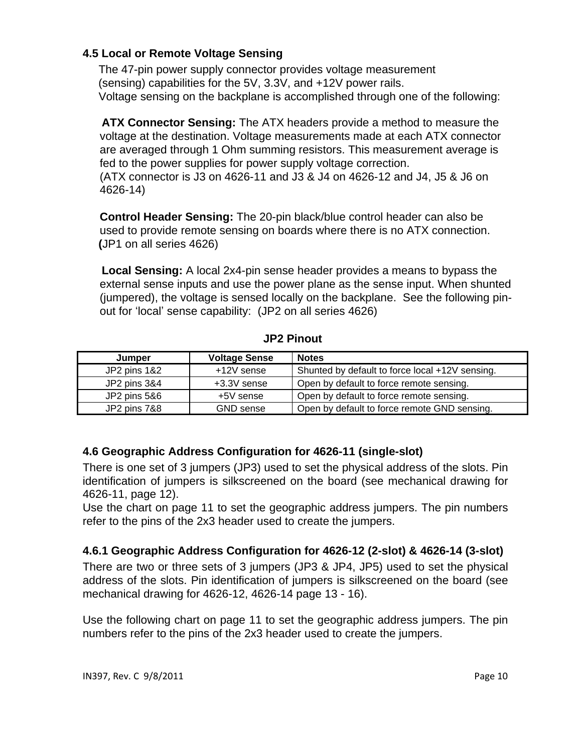#### **4.5 Local or Remote Voltage Sensing**

 The 47-pin power supply connector provides voltage measurement (sensing) capabilities for the 5V, 3.3V, and +12V power rails. Voltage sensing on the backplane is accomplished through one of the following:

 **ATX Connector Sensing:** The ATX headers provide a method to measure the voltage at the destination. Voltage measurements made at each ATX connector are averaged through 1 Ohm summing resistors. This measurement average is fed to the power supplies for power supply voltage correction.

(ATX connector is J3 on 4626-11 and J3 & J4 on 4626-12 and J4, J5 & J6 on 4626-14)

**Control Header Sensing:** The 20-pin black/blue control header can also be used to provide remote sensing on boards where there is no ATX connection.  **(**JP1 on all series 4626)

 **Local Sensing:** A local 2x4-pin sense header provides a means to bypass the external sense inputs and use the power plane as the sense input. When shunted (jumpered), the voltage is sensed locally on the backplane. See the following pinout for 'local' sense capability: (JP2 on all series 4626)

| Jumper       | <b>Voltage Sense</b> | <b>Notes</b>                                    |
|--------------|----------------------|-------------------------------------------------|
| JP2 pins 1&2 | +12V sense           | Shunted by default to force local +12V sensing. |
| JP2 pins 3&4 | +3.3V sense          | Open by default to force remote sensing.        |
| JP2 pins 5&6 | +5V sense            | Open by default to force remote sensing.        |
| JP2 pins 7&8 | <b>GND</b> sense     | Open by default to force remote GND sensing.    |

#### **JP2 Pinout**

#### **4.6 Geographic Address Configuration for 4626-11 (single-slot)**

There is one set of 3 jumpers (JP3) used to set the physical address of the slots. Pin identification of jumpers is silkscreened on the board (see mechanical drawing for 4626-11, page 12).

Use the chart on page 11 to set the geographic address jumpers. The pin numbers refer to the pins of the 2x3 header used to create the jumpers.

#### **4.6.1 Geographic Address Configuration for 4626-12 (2-slot) & 4626-14 (3-slot)**

There are two or three sets of 3 jumpers (JP3 & JP4, JP5) used to set the physical address of the slots. Pin identification of jumpers is silkscreened on the board (see mechanical drawing for 4626-12, 4626-14 page 13 - 16).

Use the following chart on page 11 to set the geographic address jumpers. The pin numbers refer to the pins of the 2x3 header used to create the jumpers.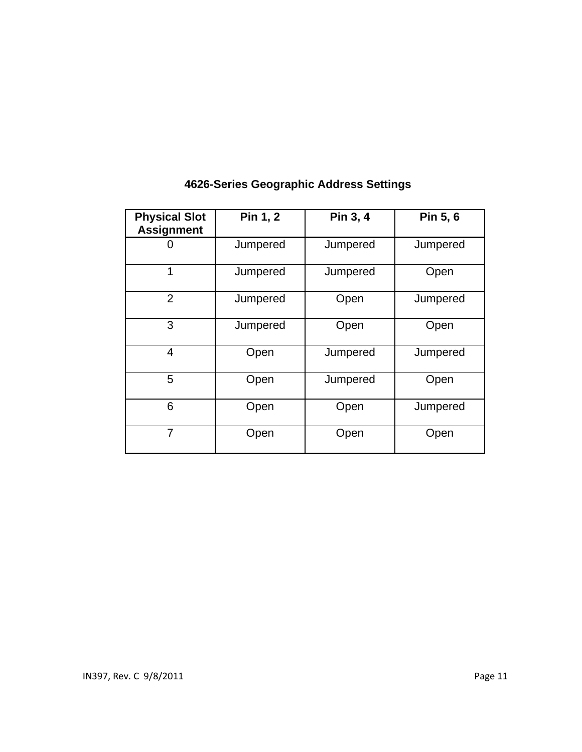| <b>Physical Slot</b><br><b>Assignment</b> | Pin 1, 2 | Pin 3, 4 | Pin 5, 6 |
|-------------------------------------------|----------|----------|----------|
|                                           | Jumpered | Jumpered | Jumpered |
| 1                                         | Jumpered | Jumpered | Open     |
| $\overline{2}$                            | Jumpered | Open     | Jumpered |
| 3                                         | Jumpered | Open     | Open     |
| $\overline{4}$                            | Open     | Jumpered | Jumpered |
| 5                                         | Open     | Jumpered | Open     |
| 6                                         | Open     | Open     | Jumpered |
| $\overline{7}$                            | Open     | Open     | Open     |

## **4626-Series Geographic Address Settings**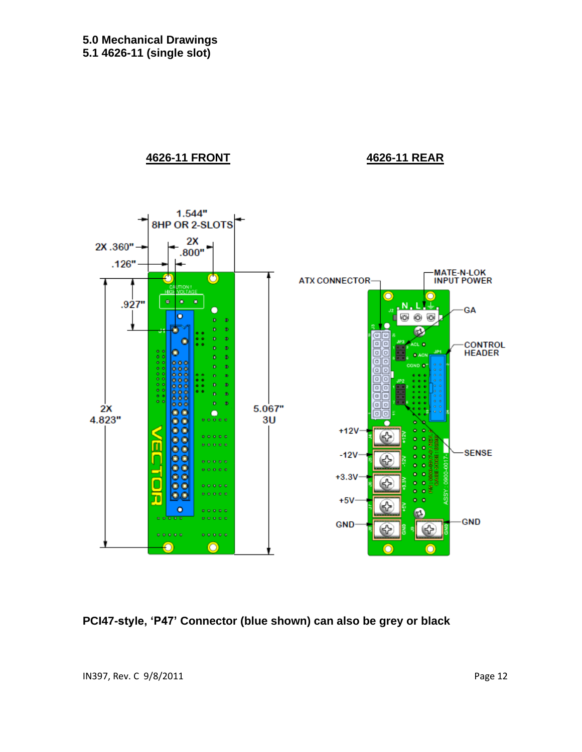**4626-11 FRONT 4626-11 REAR**



**PCI47-style, 'P47' Connector (blue shown) can also be grey or black**

IN397, Rev. C 9/8/2011 2012 2022 12:30 Page 12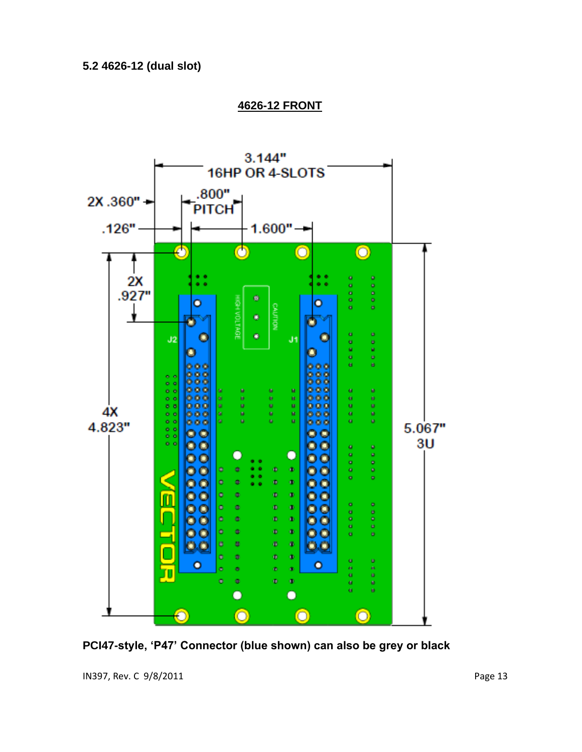

 **4626-12 FRONT**

**PCI47-style, 'P47' Connector (blue shown) can also be grey or black**

IN397, Rev. C 9/8/2011 2012 2022 12:30 Page 13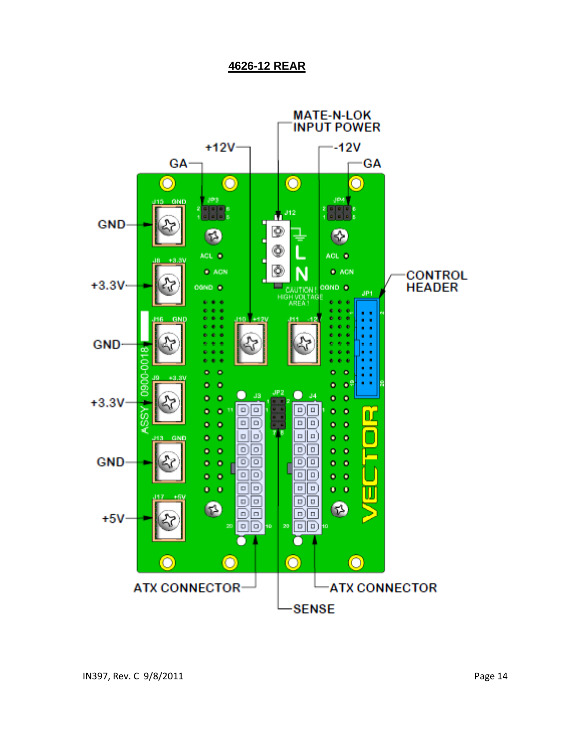#### **4626-12 REAR**

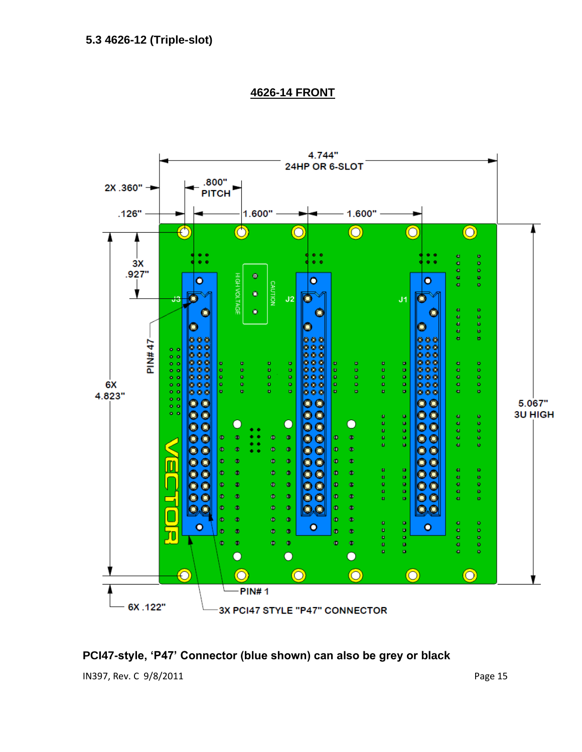

 **4626-14 FRONT**

#### **PCI47-style, 'P47' Connector (blue shown) can also be grey or black**

IN397, Rev. C 9/8/2011 2012 2020 12:00:00 Page 15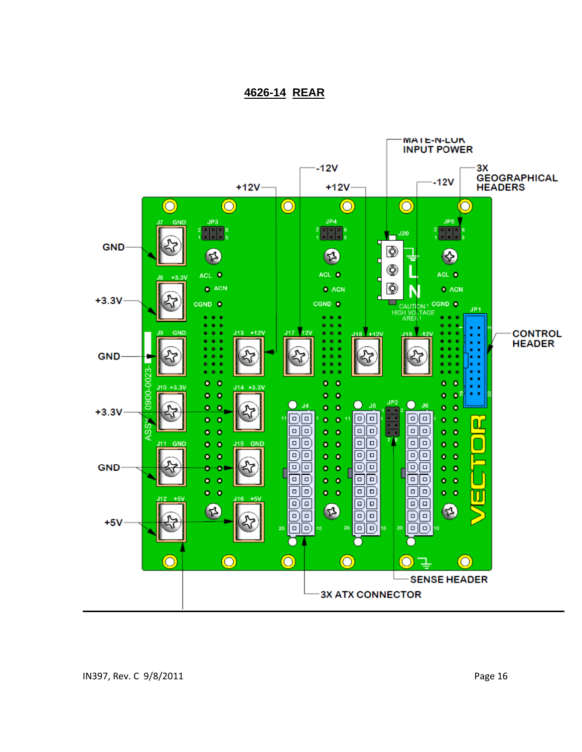#### **4626-14 REAR**

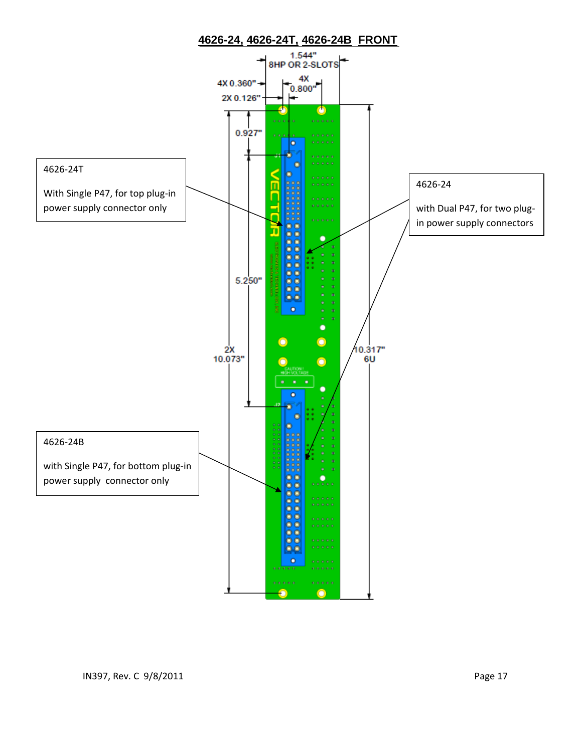

### **4626-24, 4626-24T, 4626-24B FRONT**